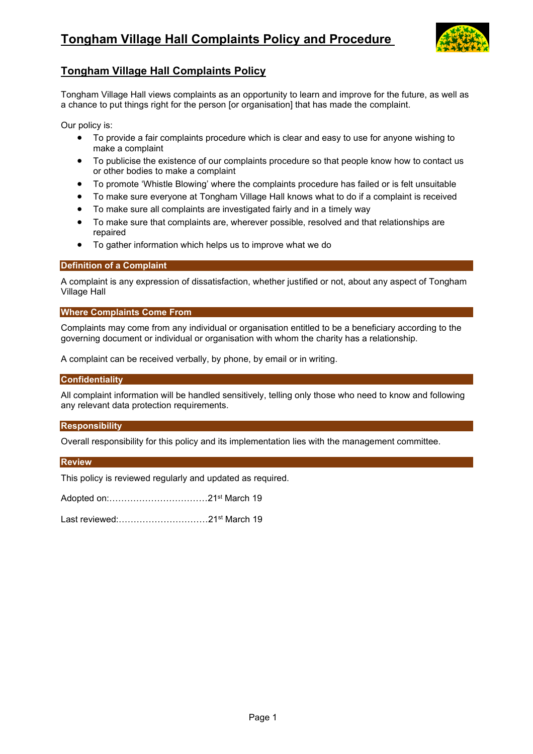

## **Tongham Village Hall Complaints Policy**

Tongham Village Hall views complaints as an opportunity to learn and improve for the future, as well as a chance to put things right for the person [or organisation] that has made the complaint.

Our policy is:

- To provide a fair complaints procedure which is clear and easy to use for anyone wishing to make a complaint
- To publicise the existence of our complaints procedure so that people know how to contact us or other bodies to make a complaint
- To promote 'Whistle Blowing' where the complaints procedure has failed or is felt unsuitable
- To make sure everyone at Tongham Village Hall knows what to do if a complaint is received
- To make sure all complaints are investigated fairly and in a timely way
- To make sure that complaints are, wherever possible, resolved and that relationships are repaired
- To gather information which helps us to improve what we do

## **Definition of a Complaint**

A complaint is any expression of dissatisfaction, whether justified or not, about any aspect of Tongham Village Hall

## **Where Complaints Come From**

Complaints may come from any individual or organisation entitled to be a beneficiary according to the governing document or individual or organisation with whom the charity has a relationship.

A complaint can be received verbally, by phone, by email or in writing.

## **Confidentiality**

All complaint information will be handled sensitively, telling only those who need to know and following any relevant data protection requirements.

#### **Responsibility**

Overall responsibility for this policy and its implementation lies with the management committee.

#### **Review**

This policy is reviewed regularly and updated as required.

Adopted on:……………………………21st March 19

Last reviewed:…………………………21st March 19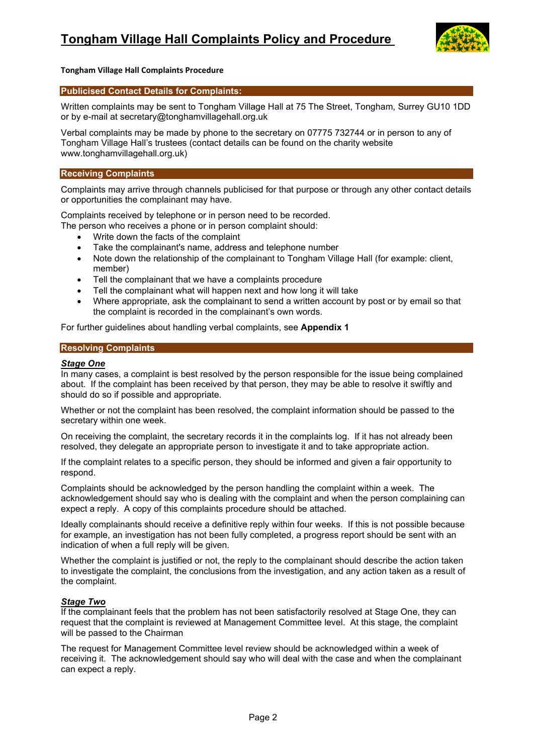

## **Tongham Village Hall Complaints Procedure**

#### **Publicised Contact Details for Complaints:**

Written complaints may be sent to Tongham Village Hall at 75 The Street, Tongham, Surrey GU10 1DD or by e-mail at secretary@tonghamvillagehall.org.uk

Verbal complaints may be made by phone to the secretary on 07775 732744 or in person to any of Tongham Village Hall's trustees (contact details can be found on the charity website www.tonghamvillagehall.org.uk)

#### **Receiving Complaints**

Complaints may arrive through channels publicised for that purpose or through any other contact details or opportunities the complainant may have.

Complaints received by telephone or in person need to be recorded.

The person who receives a phone or in person complaint should:

- Write down the facts of the complaint
- Take the complainant's name, address and telephone number
- Note down the relationship of the complainant to Tongham Village Hall (for example: client, member)
- Tell the complainant that we have a complaints procedure
- Tell the complainant what will happen next and how long it will take
- Where appropriate, ask the complainant to send a written account by post or by email so that the complaint is recorded in the complainant's own words.

For further guidelines about handling verbal complaints, see **Appendix 1**

## **Resolving Complaints**

#### *Stage One*

In many cases, a complaint is best resolved by the person responsible for the issue being complained about. If the complaint has been received by that person, they may be able to resolve it swiftly and should do so if possible and appropriate.

Whether or not the complaint has been resolved, the complaint information should be passed to the secretary within one week.

On receiving the complaint, the secretary records it in the complaints log. If it has not already been resolved, they delegate an appropriate person to investigate it and to take appropriate action.

If the complaint relates to a specific person, they should be informed and given a fair opportunity to respond.

Complaints should be acknowledged by the person handling the complaint within a week. The acknowledgement should say who is dealing with the complaint and when the person complaining can expect a reply. A copy of this complaints procedure should be attached.

Ideally complainants should receive a definitive reply within four weeks. If this is not possible because for example, an investigation has not been fully completed, a progress report should be sent with an indication of when a full reply will be given.

Whether the complaint is justified or not, the reply to the complainant should describe the action taken to investigate the complaint, the conclusions from the investigation, and any action taken as a result of the complaint.

#### *Stage Two*

If the complainant feels that the problem has not been satisfactorily resolved at Stage One, they can request that the complaint is reviewed at Management Committee level. At this stage, the complaint will be passed to the Chairman

The request for Management Committee level review should be acknowledged within a week of receiving it. The acknowledgement should say who will deal with the case and when the complainant can expect a reply.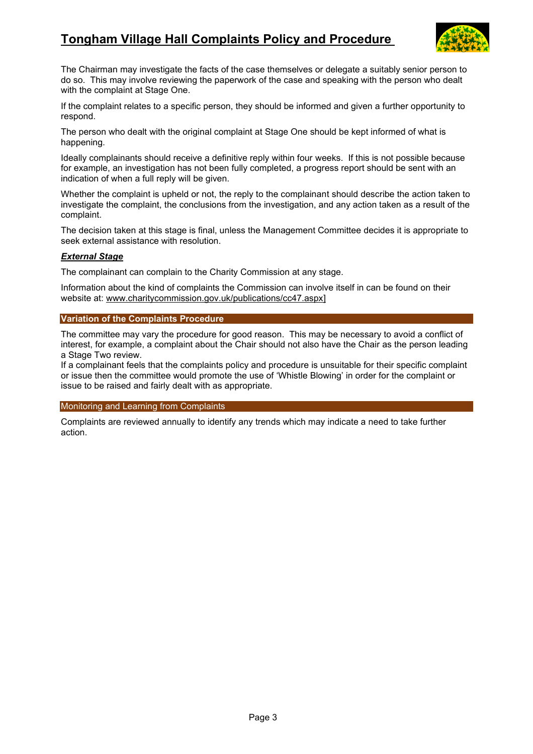# **Tongham Village Hall Complaints Policy and Procedure**



The Chairman may investigate the facts of the case themselves or delegate a suitably senior person to do so. This may involve reviewing the paperwork of the case and speaking with the person who dealt with the complaint at Stage One.

If the complaint relates to a specific person, they should be informed and given a further opportunity to respond.

The person who dealt with the original complaint at Stage One should be kept informed of what is happening.

Ideally complainants should receive a definitive reply within four weeks. If this is not possible because for example, an investigation has not been fully completed, a progress report should be sent with an indication of when a full reply will be given.

Whether the complaint is upheld or not, the reply to the complainant should describe the action taken to investigate the complaint, the conclusions from the investigation, and any action taken as a result of the complaint.

The decision taken at this stage is final, unless the Management Committee decides it is appropriate to seek external assistance with resolution.

## *External Stage*

The complainant can complain to the Charity Commission at any stage.

Information about the kind of complaints the Commission can involve itself in can be found on their website at: [www.charitycommission.gov.uk/publications/cc47.aspx\]](http://www.charitycommission.gov.uk/publications/cc47.aspx)

## **Variation of the Complaints Procedure**

The committee may vary the procedure for good reason. This may be necessary to avoid a conflict of interest, for example, a complaint about the Chair should not also have the Chair as the person leading a Stage Two review.

If a complainant feels that the complaints policy and procedure is unsuitable for their specific complaint or issue then the committee would promote the use of 'Whistle Blowing' in order for the complaint or issue to be raised and fairly dealt with as appropriate.

Monitoring and Learning from Complaints

Complaints are reviewed annually to identify any trends which may indicate a need to take further action.